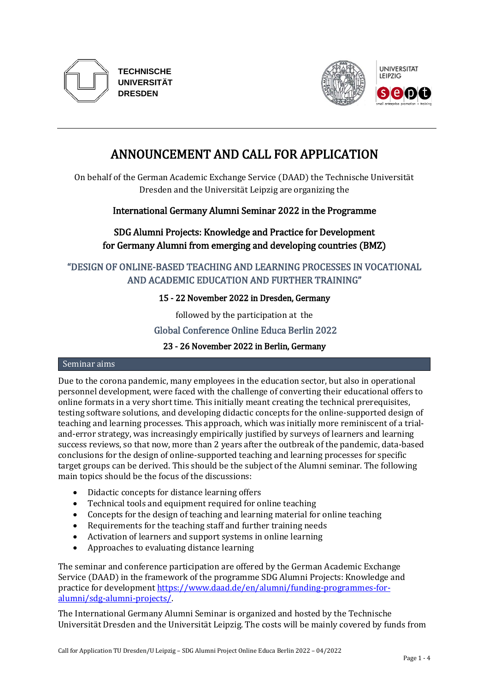

**TECHNISCHE UNIVERSITÄT DRESDEN**



# ANNOUNCEMENT AND CALL FOR APPLICATION

On behalf of the German Academic Exchange Service (DAAD) the Technische Universität Dresden and the Universität Leipzig are organizing the

# International Germany Alumni Seminar 2022 in the Programme

# SDG Alumni Projects: Knowledge and Practice for Development for Germany Alumni from emerging and developing countries (BMZ)

# "DESIGN OF ONLINE-BASED TEACHING AND LEARNING PROCESSES IN VOCATIONAL AND ACADEMIC EDUCATION AND FURTHER TRAINING"

# 15 - 22 November 2022 in Dresden, Germany

followed by the participation at the

# Global Conference Online Educa Berlin 2022

## 23 - 26 November 2022 in Berlin, Germany

#### Seminar aims

Due to the corona pandemic, many employees in the education sector, but also in operational personnel development, were faced with the challenge of converting their educational offers to online formats in a very short time. This initially meant creating the technical prerequisites, testing software solutions, and developing didactic concepts for the online-supported design of teaching and learning processes. This approach, which was initially more reminiscent of a trialand-error strategy, was increasingly empirically justified by surveys of learners and learning success reviews, so that now, more than 2 years after the outbreak of the pandemic, data-based conclusions for the design of online-supported teaching and learning processes for specific target groups can be derived. This should be the subject of the Alumni seminar. The following main topics should be the focus of the discussions:

- Didactic concepts for distance learning offers
- Technical tools and equipment required for online teaching
- Concepts for the design of teaching and learning material for online teaching
- Requirements for the teaching staff and further training needs
- Activation of learners and support systems in online learning
- Approaches to evaluating distance learning

The seminar and conference participation are offered by the German Academic Exchange Service (DAAD) in the framework of the programme SDG Alumni Projects: Knowledge and practice for developmen[t https://www.daad.de/en/alumni/funding-programmes-for](https://www.daad.de/en/alumni/funding-programmes-for-alumni/sdg-alumni-projects/)[alumni/sdg-alumni-projects/.](https://www.daad.de/en/alumni/funding-programmes-for-alumni/sdg-alumni-projects/)

The International Germany Alumni Seminar is organized and hosted by the Technische Universität Dresden and the Universität Leipzig. The costs will be mainly covered by funds from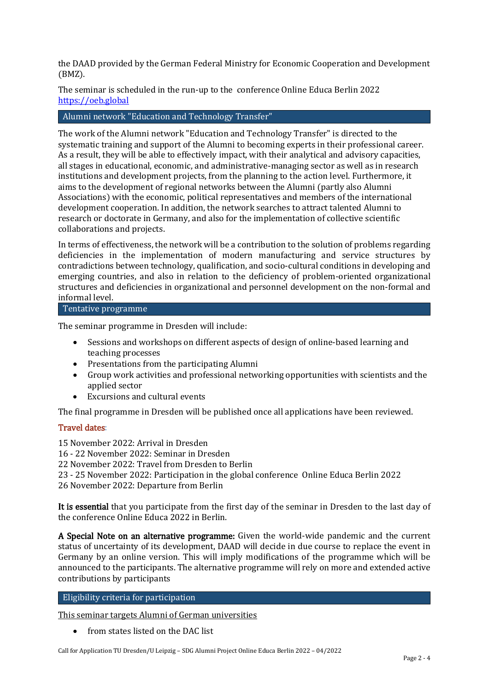the DAAD provided by the German Federal Ministry for Economic Cooperation and Development (BMZ).

The seminar is scheduled in the run-up to the conference Online Educa Berlin 2022 [https://oeb.global](https://oeb.global/)

#### Alumni network "Education and Technology Transfer"

The work of the Alumni network "Education and Technology Transfer" is directed to the systematic training and support of the Alumni to becoming experts in their professional career. As a result, they will be able to effectively impact, with their analytical and advisory capacities, all stages in educational, economic, and administrative-managing sector as well as in research institutions and development projects, from the planning to the action level. Furthermore, it aims to the development of regional networks between the Alumni (partly also Alumni Associations) with the economic, political representatives and members of the international development cooperation. In addition, the network searches to attract talented Alumni to research or doctorate in Germany, and also for the implementation of collective scientific collaborations and projects.

In terms of effectiveness, the network will be a contribution to the solution of problems regarding deficiencies in the implementation of modern manufacturing and service structures by contradictions between technology, qualification, and socio-cultural conditions in developing and emerging countries, and also in relation to the deficiency of problem-oriented organizational structures and deficiencies in organizational and personnel development on the non-formal and informal level.

#### Tentative programme

The seminar programme in Dresden will include:

- Sessions and workshops on different aspects of design of online-based learning and teaching processes
- Presentations from the participating Alumni
- Group work activities and professional networking opportunities with scientists and the applied sector
- Excursions and cultural events

The final programme in Dresden will be published once all applications have been reviewed.

## Travel dates:

15 November 2022: Arrival in Dresden

16 - 22 November 2022: Seminar in Dresden

22 November 2022: Travel from Dresden to Berlin

23 - 25 November 2022: Participation in the global conference Online Educa Berlin 2022

26 November 2022: Departure from Berlin

It is essential that you participate from the first day of the seminar in Dresden to the last day of the conference Online Educa 2022 in Berlin.

A Special Note on an alternative programme: Given the world-wide pandemic and the current status of uncertainty of its development, DAAD will decide in due course to replace the event in Germany by an online version. This will imply modifications of the programme which will be announced to the participants. The alternative programme will rely on more and extended active contributions by participants

# Eligibility criteria for participation

This seminar targets Alumni of German universities

• from states listed on the DAC list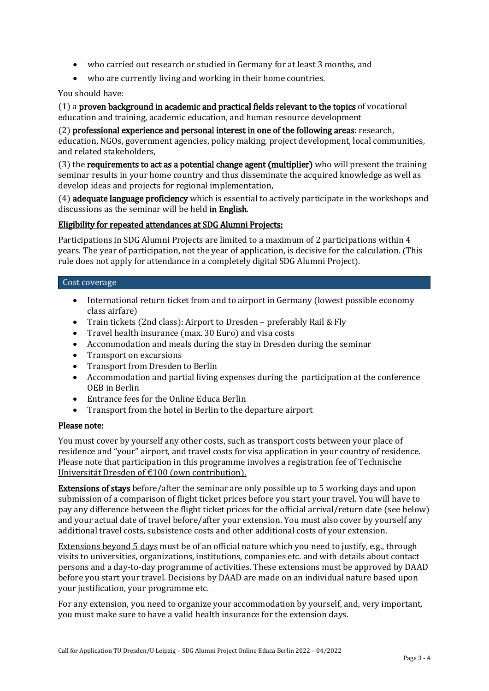- who carried out research or studied in Germany for at least 3 months, and
- who are currently living and working in their home countries.

### You should have:

(1) a proven background in academic and practical fields relevant to the topics of vocational education and training, academic education, and human resource development

(2) professional experience and personal interest in one of the following areas: research, education, NGOs, government agencies, policy making, project development, local communities, and related stakeholders,

(3) the requirements to act as a potential change agent (multiplier) who will present the training seminar results in your home country and thus disseminate the acquired knowledge as well as develop ideas and projects for regional implementation,

(4) adequate language proficiency which is essential to actively participate in the workshops and discussions as the seminar will be held in English.

#### Eligibility for repeated attendances at SDG Alumni Projects:

Participations in SDG Alumni Projects are limited to a maximum of 2 participations within 4 years. The year of participation, not the year of application, is decisive for the calculation. (This rule does not apply for attendance in a completely digital SDG Alumni Project).

#### Cost coverage

- International return ticket from and to airport in Germany (lowest possible economy class airfare)
- Train tickets (2nd class): Airport to Dresden preferably Rail & Fly
- Travel health insurance (max. 30 Euro) and visa costs
- Accommodation and meals during the stay in Dresden during the seminar
- Transport on excursions
- Transport from Dresden to Berlin
- Accommodation and partial living expenses during the participation at the conference OEB in Berlin
- Entrance fees for the Online Educa Berlin
- Transport from the hotel in Berlin to the departure airport

## Please note:

You must cover by yourself any other costs, such as transport costs between your place of residence and "your" airport, and travel costs for visa application in your country of residence. Please note that participation in this programme involves a registration fee of Technische Universität Dresden of €100 (own contribution).

Extensions of stays before/after the seminar are only possible up to 5 working days and upon submission of a comparison of flight ticket prices before you start your travel. You will have to pay any difference between the flight ticket prices for the official arrival/return date (see below) and your actual date of travel before/after your extension. You must also cover by yourself any additional travel costs, subsistence costs and other additional costs of your extension.

Extensions beyond 5 days must be of an official nature which you need to justify, e.g., through visits to universities, organizations, institutions, companies etc. and with details about contact persons and a day-to-day programme of activities. These extensions must be approved by DAAD before you start your travel. Decisions by DAAD are made on an individual nature based upon your justification, your programme etc.

For any extension, you need to organize your accommodation by yourself, and, very important, you must make sure to have a valid health insurance for the extension days.